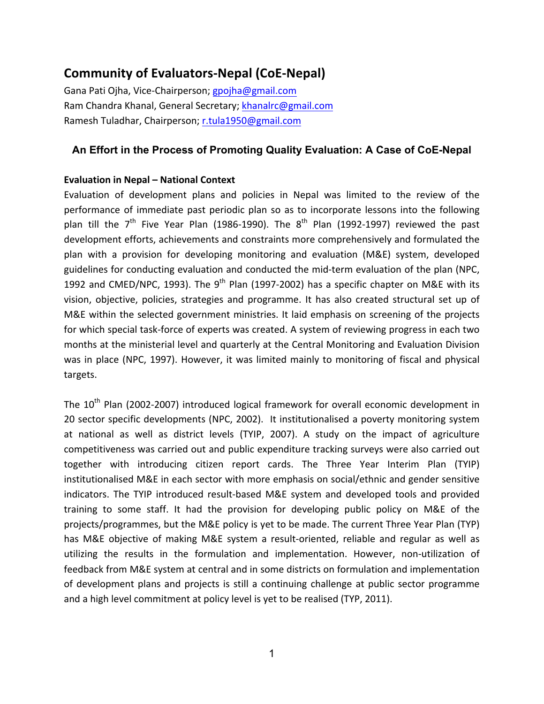# **Community of Evaluators-Nepal (CoE-Nepal)**

Gana Pati Ojha, Vice-Chairperson; gpojha@gmail.com Ram Chandra Khanal, General Secretary; khanalrc@gmail.com Ramesh Tuladhar, Chairperson; r.tula1950@gmail.com

# **An Effort in the Process of Promoting Quality Evaluation: A Case of CoE-Nepal**

# **Evaluation)in)Nepal – National)Context**

Evaluation of development plans and policies in Nepal was limited to the review of the performance of immediate past periodic plan so as to incorporate lessons into the following plan till the  $7<sup>th</sup>$  Five Year Plan (1986-1990). The  $8<sup>th</sup>$  Plan (1992-1997) reviewed the past development efforts, achievements and constraints more comprehensively and formulated the plan with a provision for developing monitoring and evaluation (M&E) system, developed guidelines for conducting evaluation and conducted the mid-term evaluation of the plan (NPC, 1992 and CMED/NPC, 1993). The 9<sup>th</sup> Plan (1997-2002) has a specific chapter on M&E with its vision, objective, policies, strategies and programme. It has also created structural set up of M&E within the selected government ministries. It laid emphasis on screening of the projects for which special task-force of experts was created. A system of reviewing progress in each two months at the ministerial level and quarterly at the Central Monitoring and Evaluation Division was in place (NPC, 1997). However, it was limited mainly to monitoring of fiscal and physical targets.

The  $10^{th}$  Plan (2002-2007) introduced logical framework for overall economic development in 20 sector specific developments (NPC, 2002). It institutionalised a poverty monitoring system at national as well as district levels (TYIP, 2007). A study on the impact of agriculture competitiveness was carried out and public expenditure tracking surveys were also carried out together with introducing citizen report cards. The Three Year Interim Plan (TYIP) institutionalised M&E in each sector with more emphasis on social/ethnic and gender sensitive indicators. The TYIP introduced result-based M&E system and developed tools and provided training to some staff. It had the provision for developing public policy on M&E of the projects/programmes, but the M&E policy is yet to be made. The current Three Year Plan (TYP) has M&E objective of making M&E system a result-oriented, reliable and regular as well as utilizing the results in the formulation and implementation. However, non-utilization of feedback from M&E system at central and in some districts on formulation and implementation of development plans and projects is still a continuing challenge at public sector programme and a high level commitment at policy level is yet to be realised (TYP, 2011).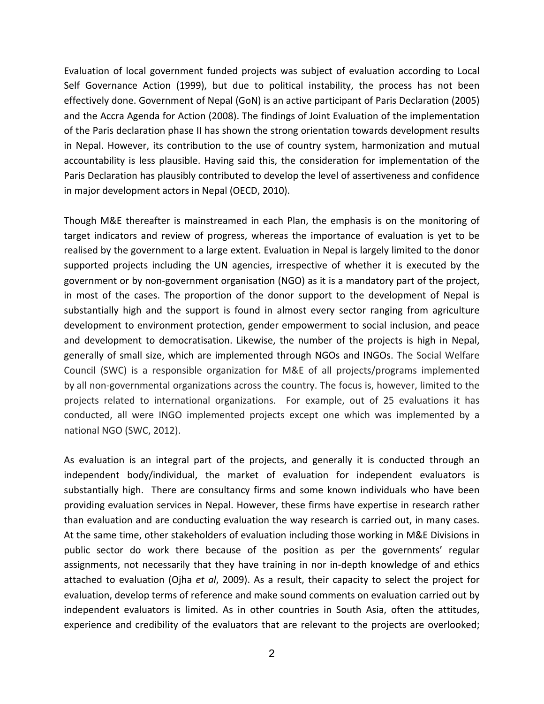Evaluation of local government funded projects was subject of evaluation according to Local Self Governance Action (1999), but due to political instability, the process has not been effectively done. Government of Nepal (GoN) is an active participant of Paris Declaration (2005) and the Accra Agenda for Action (2008). The findings of Joint Evaluation of the implementation of the Paris declaration phase II has shown the strong orientation towards development results in Nepal. However, its contribution to the use of country system, harmonization and mutual accountability is less plausible. Having said this, the consideration for implementation of the Paris Declaration has plausibly contributed to develop the level of assertiveness and confidence in major development actors in Nepal (OECD, 2010).

Though M&E thereafter is mainstreamed in each Plan, the emphasis is on the monitoring of target indicators and review of progress, whereas the importance of evaluation is yet to be realised by the government to a large extent. Evaluation in Nepal is largely limited to the donor supported projects including the UN agencies, irrespective of whether it is executed by the government or by non-government organisation (NGO) as it is a mandatory part of the project, in most of the cases. The proportion of the donor support to the development of Nepal is substantially high and the support is found in almost every sector ranging from agriculture development to environment protection, gender empowerment to social inclusion, and peace and development to democratisation. Likewise, the number of the projects is high in Nepal, generally of small size, which are implemented through NGOs and INGOs. The Social Welfare Council (SWC) is a responsible organization for M&E of all projects/programs implemented by all non-governmental organizations across the country. The focus is, however, limited to the projects related to international organizations. For example, out of 25 evaluations it has conducted, all were INGO implemented projects except one which was implemented by a national NGO (SWC, 2012).

As evaluation is an integral part of the projects, and generally it is conducted through an independent body/individual, the market of evaluation for independent evaluators is substantially high. There are consultancy firms and some known individuals who have been providing evaluation services in Nepal. However, these firms have expertise in research rather than evaluation and are conducting evaluation the way research is carried out, in many cases. At the same time, other stakeholders of evaluation including those working in M&E Divisions in public sector do work there because of the position as per the governments' regular assignments, not necessarily that they have training in nor in-depth knowledge of and ethics attached to evaluation (Ojha *et al*, 2009). As a result, their capacity to select the project for evaluation, develop terms of reference and make sound comments on evaluation carried out by independent evaluators is limited. As in other countries in South Asia, often the attitudes, experience and credibility of the evaluators that are relevant to the projects are overlooked;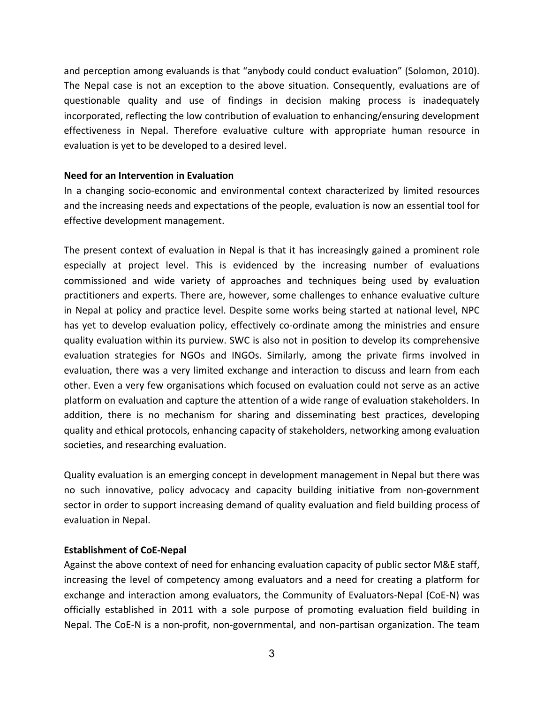and perception among evaluands is that "anybody could conduct evaluation" (Solomon, 2010). The Nepal case is not an exception to the above situation. Consequently, evaluations are of questionable quality and use of findings in decision making process is inadequately incorporated, reflecting the low contribution of evaluation to enhancing/ensuring development effectiveness in Nepal. Therefore evaluative culture with appropriate human resource in evaluation is yet to be developed to a desired level.

#### **Need for an Intervention in Evaluation**

In a changing socio-economic and environmental context characterized by limited resources and the increasing needs and expectations of the people, evaluation is now an essential tool for effective development management.

The present context of evaluation in Nepal is that it has increasingly gained a prominent role especially at project level. This is evidenced by the increasing number of evaluations commissioned and wide variety of approaches and techniques being used by evaluation practitioners and experts. There are, however, some challenges to enhance evaluative culture in Nepal at policy and practice level. Despite some works being started at national level, NPC has yet to develop evaluation policy, effectively co-ordinate among the ministries and ensure quality evaluation within its purview. SWC is also not in position to develop its comprehensive evaluation strategies for NGOs and INGOs. Similarly, among the private firms involved in evaluation, there was a very limited exchange and interaction to discuss and learn from each other. Even a very few organisations which focused on evaluation could not serve as an active platform on evaluation and capture the attention of a wide range of evaluation stakeholders. In addition, there is no mechanism for sharing and disseminating best practices, developing quality and ethical protocols, enhancing capacity of stakeholders, networking among evaluation societies, and researching evaluation.

Quality evaluation is an emerging concept in development management in Nepal but there was no such innovative, policy advocacy and capacity building initiative from non-government sector in order to support increasing demand of quality evaluation and field building process of evaluation in Nepal.

## **Establishment of CoE-Nepal**

Against the above context of need for enhancing evaluation capacity of public sector M&E staff, increasing the level of competency among evaluators and a need for creating a platform for exchange and interaction among evaluators, the Community of Evaluators-Nepal (CoE-N) was officially established in 2011 with a sole purpose of promoting evaluation field building in Nepal. The CoE-N is a non-profit, non-governmental, and non-partisan organization. The team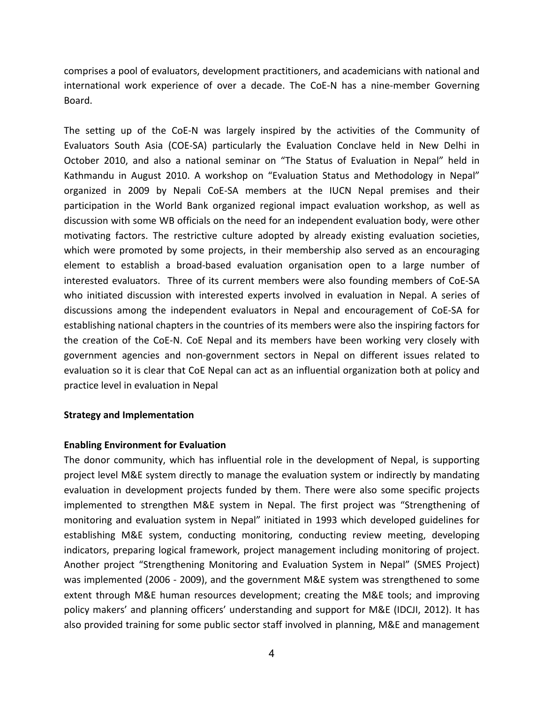comprises a pool of evaluators, development practitioners, and academicians with national and international work experience of over a decade. The CoE-N has a nine-member Governing Board.

The setting up of the CoE-N was largely inspired by the activities of the Community of Evaluators South Asia (COE-SA) particularly the Evaluation Conclave held in New Delhi in October 2010, and also a national seminar on "The Status of Evaluation in Nepal" held in Kathmandu in August 2010. A workshop on "Evaluation Status and Methodology in Nepal" organized in 2009 by Nepali CoE-SA members at the IUCN Nepal premises and their participation in the World Bank organized regional impact evaluation workshop, as well as discussion with some WB officials on the need for an independent evaluation body, were other motivating factors. The restrictive culture adopted by already existing evaluation societies, which were promoted by some projects, in their membership also served as an encouraging element to establish a broad-based evaluation organisation open to a large number of interested evaluators. Three of its current members were also founding members of CoE-SA who initiated discussion with interested experts involved in evaluation in Nepal. A series of discussions among the independent evaluators in Nepal and encouragement of CoE-SA for establishing national chapters in the countries of its members were also the inspiring factors for the creation of the CoE-N. CoE Nepal and its members have been working very closely with government agencies and non-government sectors in Nepal on different issues related to evaluation so it is clear that CoE Nepal can act as an influential organization both at policy and practice level in evaluation in Nepal

#### **Strategy and Implementation**

## **Enabling Environment for Evaluation**

The donor community, which has influential role in the development of Nepal, is supporting project level M&E system directly to manage the evaluation system or indirectly by mandating evaluation in development projects funded by them. There were also some specific projects implemented to strengthen M&E system in Nepal. The first project was "Strengthening of monitoring and evaluation system in Nepal" initiated in 1993 which developed guidelines for establishing M&E system, conducting monitoring, conducting review meeting, developing indicators, preparing logical framework, project management including monitoring of project. Another project "Strengthening Monitoring and Evaluation System in Nepal" (SMES Project) was implemented (2006 - 2009), and the government M&E system was strengthened to some extent through M&E human resources development; creating the M&E tools; and improving policy makers' and planning officers' understanding and support for M&E (IDCJI, 2012). It has also provided training for some public sector staff involved in planning, M&E and management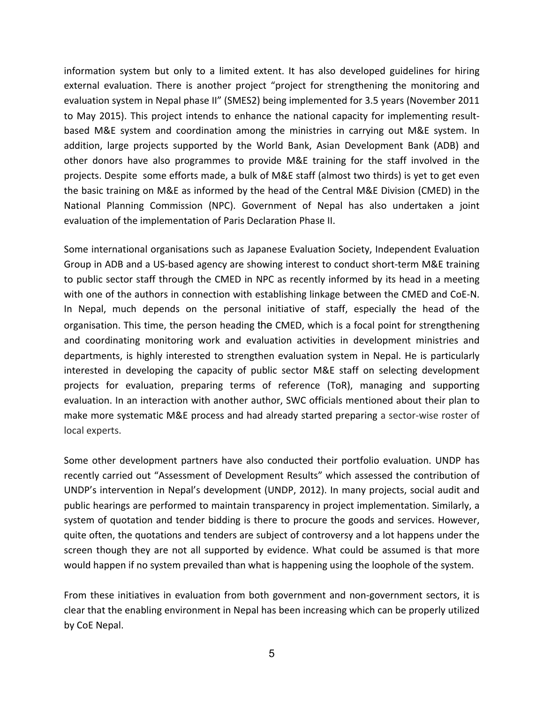information system but only to a limited extent. It has also developed guidelines for hiring external evaluation. There is another project "project for strengthening the monitoring and evaluation system in Nepal phase II" (SMES2) being implemented for 3.5 years (November 2011 to May 2015). This project intends to enhance the national capacity for implementing resultbased M&E system and coordination among the ministries in carrying out M&E system. In addition, large projects supported by the World Bank, Asian Development Bank (ADB) and other donors have also programmes to provide M&E training for the staff involved in the projects. Despite some efforts made, a bulk of M&E staff (almost two thirds) is yet to get even the basic training on M&E as informed by the head of the Central M&E Division (CMED) in the National Planning Commission (NPC). Government of Nepal has also undertaken a joint evaluation of the implementation of Paris Declaration Phase II.

Some international organisations such as Japanese Evaluation Society, Independent Evaluation Group in ADB and a US-based agency are showing interest to conduct short-term M&E training to public sector staff through the CMED in NPC as recently informed by its head in a meeting with one of the authors in connection with establishing linkage between the CMED and CoE-N. In Nepal, much depends on the personal initiative of staff, especially the head of the organisation. This time, the person heading the CMED, which is a focal point for strengthening and coordinating monitoring work and evaluation activities in development ministries and departments, is highly interested to strengthen evaluation system in Nepal. He is particularly interested in developing the capacity of public sector M&E staff on selecting development projects for evaluation, preparing terms of reference (ToR), managing and supporting evaluation. In an interaction with another author, SWC officials mentioned about their plan to make more systematic M&E process and had already started preparing a sector-wise roster of local experts.

Some other development partners have also conducted their portfolio evaluation. UNDP has recently carried out "Assessment of Development Results" which assessed the contribution of UNDP's intervention in Nepal's development (UNDP, 2012). In many projects, social audit and public hearings are performed to maintain transparency in project implementation. Similarly, a system of quotation and tender bidding is there to procure the goods and services. However, quite often, the quotations and tenders are subject of controversy and a lot happens under the screen though they are not all supported by evidence. What could be assumed is that more would happen if no system prevailed than what is happening using the loophole of the system.

From these initiatives in evaluation from both government and non-government sectors, it is clear that the enabling environment in Nepal has been increasing which can be properly utilized by CoE Nepal.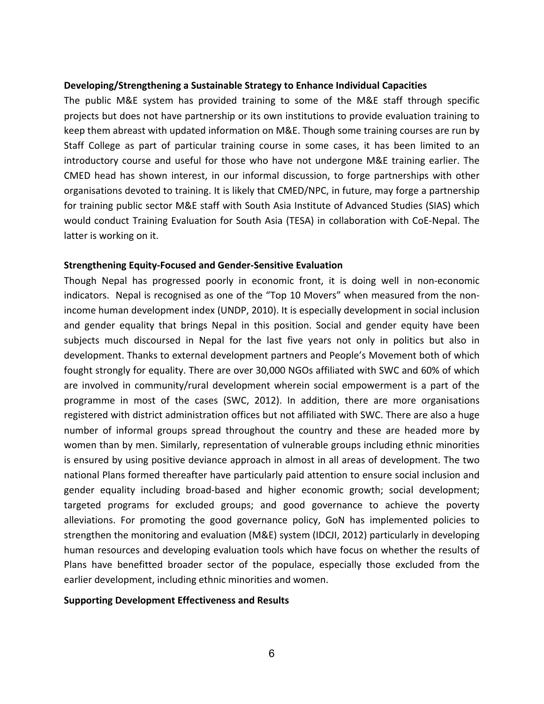#### **Developing/Strengthening a Sustainable Strategy to Enhance Individual Capacities**

The public M&E system has provided training to some of the M&E staff through specific projects but does not have partnership or its own institutions to provide evaluation training to keep them abreast with updated information on M&E. Though some training courses are run by Staff College as part of particular training course in some cases, it has been limited to an introductory course and useful for those who have not undergone M&E training earlier. The CMED head has shown interest, in our informal discussion, to forge partnerships with other organisations devoted to training. It is likely that CMED/NPC, in future, may forge a partnership for training public sector M&E staff with South Asia Institute of Advanced Studies (SIAS) which would conduct Training Evaluation for South Asia (TESA) in collaboration with CoE-Nepal. The latter is working on it.

#### **Strengthening Equity-Focused and Gender-Sensitive Evaluation**

Though Nepal has progressed poorly in economic front, it is doing well in non-economic indicators. Nepal is recognised as one of the "Top 10 Movers" when measured from the nonincome human development index (UNDP, 2010). It is especially development in social inclusion and gender equality that brings Nepal in this position. Social and gender equity have been subjects much discoursed in Nepal for the last five years not only in politics but also in development. Thanks to external development partners and People's Movement both of which fought strongly for equality. There are over 30,000 NGOs affiliated with SWC and 60% of which are involved in community/rural development wherein social empowerment is a part of the programme in most of the cases (SWC, 2012). In addition, there are more organisations registered with district administration offices but not affiliated with SWC. There are also a huge number of informal groups spread throughout the country and these are headed more by women than by men. Similarly, representation of vulnerable groups including ethnic minorities is ensured by using positive deviance approach in almost in all areas of development. The two national Plans formed thereafter have particularly paid attention to ensure social inclusion and gender equality including broad-based and higher economic growth; social development; targeted programs for excluded groups; and good governance to achieve the poverty alleviations. For promoting the good governance policy, GoN has implemented policies to strengthen the monitoring and evaluation (M&E) system (IDCJI, 2012) particularly in developing human resources and developing evaluation tools which have focus on whether the results of Plans have benefitted broader sector of the populace, especially those excluded from the earlier development, including ethnic minorities and women.

#### **Supporting Development Effectiveness and Results**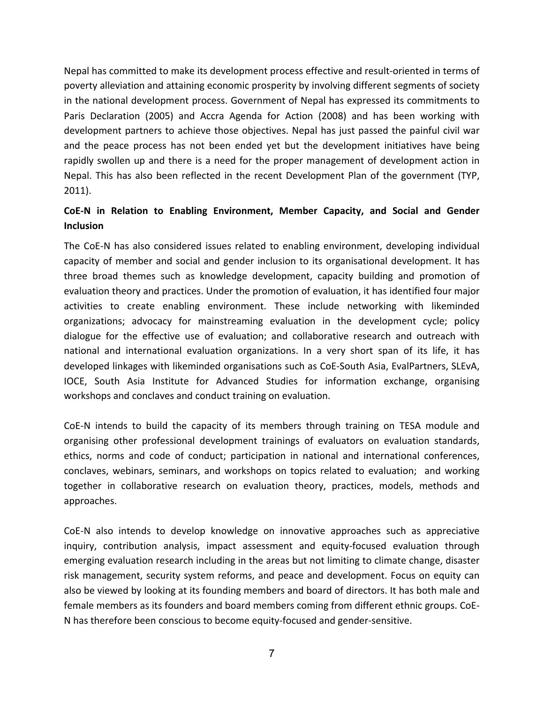Nepal has committed to make its development process effective and result-oriented in terms of poverty alleviation and attaining economic prosperity by involving different segments of society in the national development process. Government of Nepal has expressed its commitments to Paris Declaration (2005) and Accra Agenda for Action (2008) and has been working with development partners to achieve those objectives. Nepal has just passed the painful civil war and the peace process has not been ended yet but the development initiatives have being rapidly swollen up and there is a need for the proper management of development action in Nepal. This has also been reflected in the recent Development Plan of the government (TYP,  $2011$ ).

# CoE-N in Relation to Enabling Environment, Member Capacity, and Social and Gender **Inclusion**

The CoE-N has also considered issues related to enabling environment, developing individual capacity of member and social and gender inclusion to its organisational development. It has three broad themes such as knowledge development, capacity building and promotion of evaluation theory and practices. Under the promotion of evaluation, it has identified four major activities to create enabling environment. These include networking with likeminded organizations; advocacy for mainstreaming evaluation in the development cycle; policy dialogue for the effective use of evaluation; and collaborative research and outreach with national and international evaluation organizations. In a very short span of its life, it has developed linkages with likeminded organisations such as CoE-South Asia, EvalPartners, SLEvA, IOCE, South Asia Institute for Advanced Studies for information exchange, organising workshops and conclaves and conduct training on evaluation.

CoE-N intends to build the capacity of its members through training on TESA module and organising other professional development trainings of evaluators on evaluation standards, ethics, norms and code of conduct; participation in national and international conferences, conclaves, webinars, seminars, and workshops on topics related to evaluation; and working together in collaborative research on evaluation theory, practices, models, methods and approaches.

CoE-N also intends to develop knowledge on innovative approaches such as appreciative inquiry, contribution analysis, impact assessment and equity-focused evaluation through emerging evaluation research including in the areas but not limiting to climate change, disaster risk management, security system reforms, and peace and development. Focus on equity can also be viewed by looking at its founding members and board of directors. It has both male and female members as its founders and board members coming from different ethnic groups. CoE-N has therefore been conscious to become equity-focused and gender-sensitive.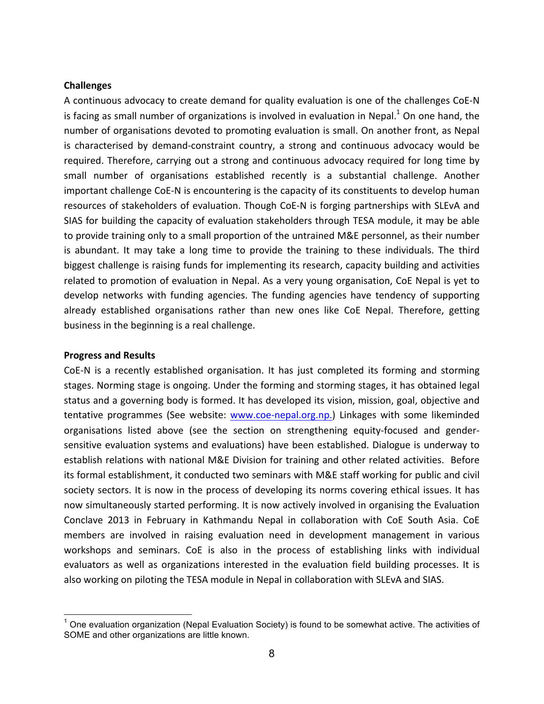#### **Challenges**

A continuous advocacy to create demand for quality evaluation is one of the challenges CoE-N is facing as small number of organizations is involved in evaluation in Nepal.<sup>1</sup> On one hand, the number of organisations devoted to promoting evaluation is small. On another front, as Nepal is characterised by demand-constraint country, a strong and continuous advocacy would be required. Therefore, carrying out a strong and continuous advocacy required for long time by small number of organisations established recently is a substantial challenge. Another important challenge CoE-N is encountering is the capacity of its constituents to develop human resources of stakeholders of evaluation. Though CoE-N is forging partnerships with SLEvA and SIAS for building the capacity of evaluation stakeholders through TESA module, it may be able to provide training only to a small proportion of the untrained M&E personnel, as their number is abundant. It may take a long time to provide the training to these individuals. The third biggest challenge is raising funds for implementing its research, capacity building and activities related to promotion of evaluation in Nepal. As a very young organisation, CoE Nepal is yet to develop networks with funding agencies. The funding agencies have tendency of supporting already established organisations rather than new ones like CoE Nepal. Therefore, getting business in the beginning is a real challenge.

#### **Progress and Results**

CoE-N is a recently established organisation. It has just completed its forming and storming stages. Norming stage is ongoing. Under the forming and storming stages, it has obtained legal status and a governing body is formed. It has developed its vision, mission, goal, objective and tentative programmes (See website: www.coe-nepal.org.np.) Linkages with some likeminded organisations listed above (see the section on strengthening equity-focused and gendersensitive evaluation systems and evaluations) have been established. Dialogue is underway to establish relations with national M&E Division for training and other related activities. Before its formal establishment, it conducted two seminars with M&E staff working for public and civil society sectors. It is now in the process of developing its norms covering ethical issues. It has now simultaneously started performing. It is now actively involved in organising the Evaluation Conclave 2013 in February in Kathmandu Nepal in collaboration with CoE South Asia. CoE members are involved in raising evaluation need in development management in various workshops and seminars. CoE is also in the process of establishing links with individual evaluators as well as organizations interested in the evaluation field building processes. It is also working on piloting the TESA module in Nepal in collaboration with SLEvA and SIAS.

 $<sup>1</sup>$  One evaluation organization (Nepal Evaluation Society) is found to be somewhat active. The activities of</sup> SOME and other organizations are little known.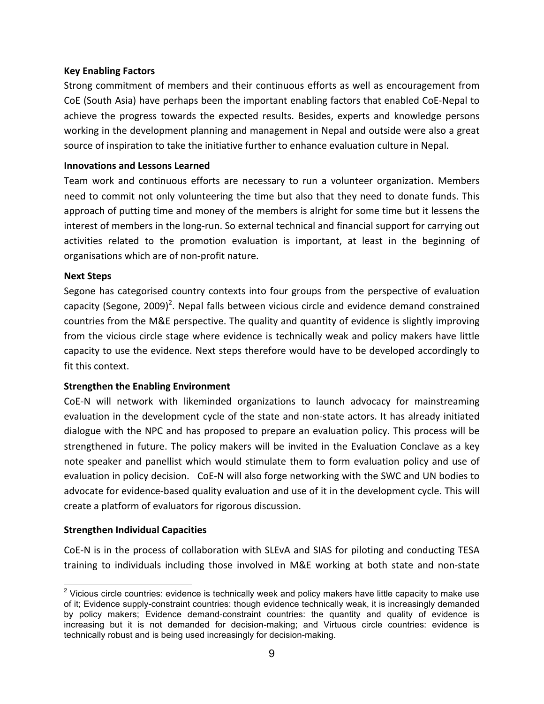## **Key)Enabling)Factors**

Strong commitment of members and their continuous efforts as well as encouragement from CoE (South Asia) have perhaps been the important enabling factors that enabled CoE-Nepal to achieve the progress towards the expected results. Besides, experts and knowledge persons working in the development planning and management in Nepal and outside were also a great source of inspiration to take the initiative further to enhance evaluation culture in Nepal.

## **Innovations and Lessons Learned**

Team work and continuous efforts are necessary to run a volunteer organization. Members need to commit not only volunteering the time but also that they need to donate funds. This approach of putting time and money of the members is alright for some time but it lessens the interest of members in the long-run. So external technical and financial support for carrying out activities related to the promotion evaluation is important, at least in the beginning of organisations which are of non-profit nature.

# **Next Steps**

Segone has categorised country contexts into four groups from the perspective of evaluation capacity (Segone, 2009)<sup>2</sup>. Nepal falls between vicious circle and evidence demand constrained countries from the M&E perspective. The quality and quantity of evidence is slightly improving from the vicious circle stage where evidence is technically weak and policy makers have little capacity to use the evidence. Next steps therefore would have to be developed accordingly to fit this context.

# **Strengthen the Enabling Environment**

CoE-N will network with likeminded organizations to launch advocacy for mainstreaming evaluation in the development cycle of the state and non-state actors. It has already initiated dialogue with the NPC and has proposed to prepare an evaluation policy. This process will be strengthened in future. The policy makers will be invited in the Evaluation Conclave as a key note speaker and panellist which would stimulate them to form evaluation policy and use of evaluation in policy decision. CoE-N will also forge networking with the SWC and UN bodies to advocate for evidence-based quality evaluation and use of it in the development cycle. This will create a platform of evaluators for rigorous discussion.

## **Strengthen Individual Capacities**

CoE-N is in the process of collaboration with SLEvA and SIAS for piloting and conducting TESA training to individuals including those involved in M&E working at both state and non-state

 $2$  Vicious circle countries: evidence is technically week and policy makers have little capacity to make use of it; Evidence supply-constraint countries: though evidence technically weak, it is increasingly demanded by policy makers; Evidence demand-constraint countries: the quantity and quality of evidence is increasing but it is not demanded for decision-making; and Virtuous circle countries: evidence is technically robust and is being used increasingly for decision-making.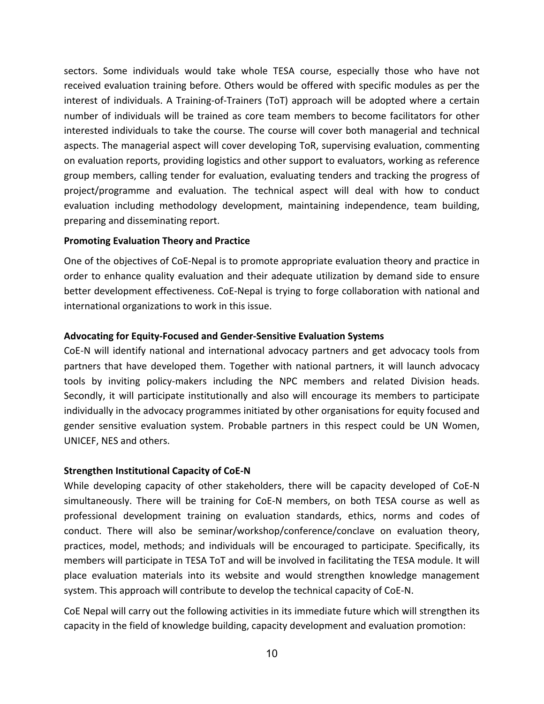sectors. Some individuals would take whole TESA course, especially those who have not received evaluation training before. Others would be offered with specific modules as per the interest of individuals. A Training-of-Trainers (ToT) approach will be adopted where a certain number of individuals will be trained as core team members to become facilitators for other interested individuals to take the course. The course will cover both managerial and technical aspects. The managerial aspect will cover developing ToR, supervising evaluation, commenting on evaluation reports, providing logistics and other support to evaluators, working as reference group members, calling tender for evaluation, evaluating tenders and tracking the progress of project/programme and evaluation. The technical aspect will deal with how to conduct evaluation including methodology development, maintaining independence, team building, preparing and disseminating report.

## **Promoting Evaluation Theory and Practice**

One of the objectives of CoE-Nepal is to promote appropriate evaluation theory and practice in order to enhance quality evaluation and their adequate utilization by demand side to ensure better development effectiveness. CoE-Nepal is trying to forge collaboration with national and international organizations to work in this issue.

#### **Advocating for Equity-Focused and Gender-Sensitive Evaluation Systems**

CoE-N will identify national and international advocacy partners and get advocacy tools from partners that have developed them. Together with national partners, it will launch advocacy tools by inviting policy-makers including the NPC members and related Division heads. Secondly, it will participate institutionally and also will encourage its members to participate individually in the advocacy programmes initiated by other organisations for equity focused and gender sensitive evaluation system. Probable partners in this respect could be UN Women, UNICEF, NES and others.

#### **Strengthen Institutional Capacity of CoE-N**

While developing capacity of other stakeholders, there will be capacity developed of CoE-N simultaneously. There will be training for CoE-N members, on both TESA course as well as professional development training on evaluation standards, ethics, norms and codes of conduct. There will also be seminar/workshop/conference/conclave on evaluation theory, practices, model, methods; and individuals will be encouraged to participate. Specifically, its members will participate in TESA ToT and will be involved in facilitating the TESA module. It will place evaluation materials into its website and would strengthen knowledge management system. This approach will contribute to develop the technical capacity of CoE-N.

CoE Nepal will carry out the following activities in its immediate future which will strengthen its capacity in the field of knowledge building, capacity development and evaluation promotion: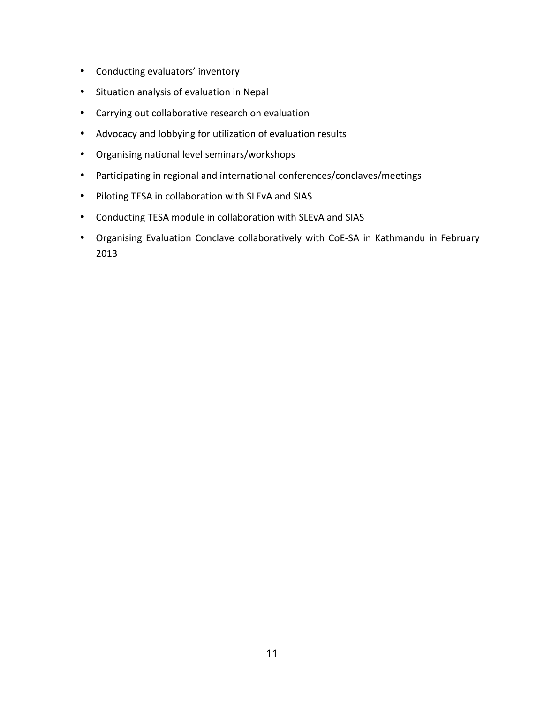- Conducting evaluators' inventory
- Situation analysis of evaluation in Nepal
- Carrying out collaborative research on evaluation
- Advocacy and lobbying for utilization of evaluation results
- Organising national level seminars/workshops
- Participating in regional and international conferences/conclaves/meetings
- Piloting TESA in collaboration with SLEvA and SIAS
- Conducting TESA module in collaboration with SLEvA and SIAS
- Organising Evaluation Conclave collaboratively with CoE-SA in Kathmandu in February 2013